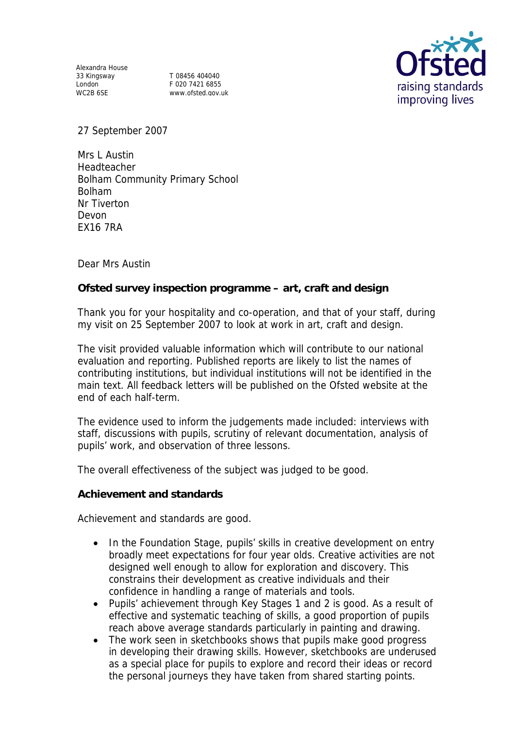Alexandra House 33 Kingsway T 08456 404040 London F 020 7421 6855<br>WC2B 6SE www.ofsted.cov.u

www.ofsted.gov.uk



27 September 2007

Mrs L Austin Headteacher Bolham Community Primary School Bolham Nr Tiverton Devon EX16 7RA

Dear Mrs Austin

**Ofsted survey inspection programme – art, craft and design**

Thank you for your hospitality and co-operation, and that of your staff, during my visit on 25 September 2007 to look at work in art, craft and design.

The visit provided valuable information which will contribute to our national evaluation and reporting. Published reports are likely to list the names of contributing institutions, but individual institutions will not be identified in the main text. All feedback letters will be published on the Ofsted website at the end of each half-term.

The evidence used to inform the judgements made included: interviews with staff, discussions with pupils, scrutiny of relevant documentation, analysis of pupils' work, and observation of three lessons.

The overall effectiveness of the subject was judged to be good.

**Achievement and standards** 

Achievement and standards are good.

- In the Foundation Stage, pupils' skills in creative development on entry broadly meet expectations for four year olds. Creative activities are not designed well enough to allow for exploration and discovery. This constrains their development as creative individuals and their confidence in handling a range of materials and tools.
- Pupils' achievement through Key Stages 1 and 2 is good. As a result of effective and systematic teaching of skills, a good proportion of pupils reach above average standards particularly in painting and drawing.
- The work seen in sketchbooks shows that pupils make good progress in developing their drawing skills. However, sketchbooks are underused as a special place for pupils to explore and record their ideas or record the personal journeys they have taken from shared starting points.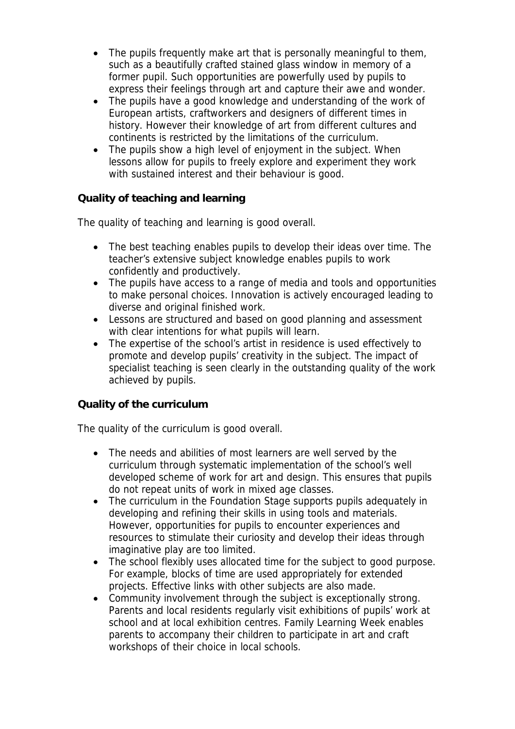- The pupils frequently make art that is personally meaningful to them, such as a beautifully crafted stained glass window in memory of a former pupil. Such opportunities are powerfully used by pupils to express their feelings through art and capture their awe and wonder.
- The pupils have a good knowledge and understanding of the work of European artists, craftworkers and designers of different times in history. However their knowledge of art from different cultures and continents is restricted by the limitations of the curriculum.
- The pupils show a high level of enjoyment in the subject. When lessons allow for pupils to freely explore and experiment they work with sustained interest and their behaviour is good.

## **Quality of teaching and learning**

The quality of teaching and learning is good overall.

- The best teaching enables pupils to develop their ideas over time. The teacher's extensive subject knowledge enables pupils to work confidently and productively.
- The pupils have access to a range of media and tools and opportunities to make personal choices. Innovation is actively encouraged leading to diverse and original finished work.
- Lessons are structured and based on good planning and assessment with clear intentions for what pupils will learn.
- The expertise of the school's artist in residence is used effectively to promote and develop pupils' creativity in the subject. The impact of specialist teaching is seen clearly in the outstanding quality of the work achieved by pupils.

## **Quality of the curriculum**

The quality of the curriculum is good overall.

- The needs and abilities of most learners are well served by the curriculum through systematic implementation of the school's well developed scheme of work for art and design. This ensures that pupils do not repeat units of work in mixed age classes.
- The curriculum in the Foundation Stage supports pupils adequately in developing and refining their skills in using tools and materials. However, opportunities for pupils to encounter experiences and resources to stimulate their curiosity and develop their ideas through imaginative play are too limited.
- The school flexibly uses allocated time for the subject to good purpose. For example, blocks of time are used appropriately for extended projects. Effective links with other subjects are also made.
- Community involvement through the subject is exceptionally strong. Parents and local residents regularly visit exhibitions of pupils' work at school and at local exhibition centres. Family Learning Week enables parents to accompany their children to participate in art and craft workshops of their choice in local schools.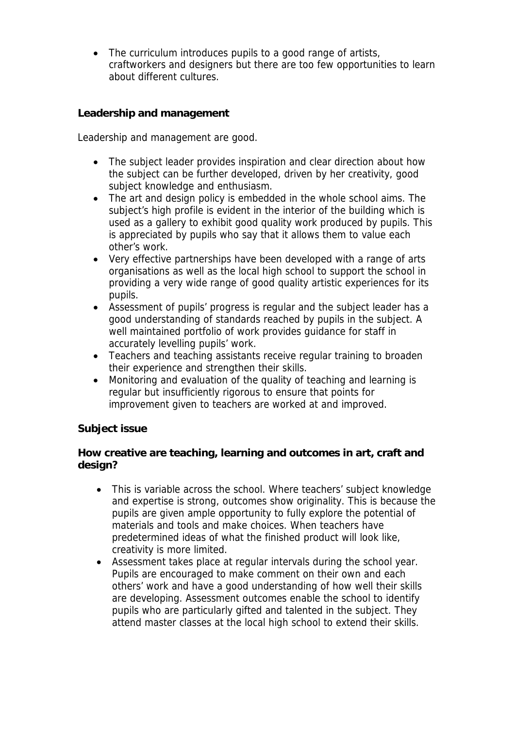• The curriculum introduces pupils to a good range of artists, craftworkers and designers but there are too few opportunities to learn about different cultures.

**Leadership and management** 

Leadership and management are good.

- The subject leader provides inspiration and clear direction about how the subject can be further developed, driven by her creativity, good subject knowledge and enthusiasm.
- The art and design policy is embedded in the whole school aims. The subject's high profile is evident in the interior of the building which is used as a gallery to exhibit good quality work produced by pupils. This is appreciated by pupils who say that it allows them to value each other's work.
- Very effective partnerships have been developed with a range of arts organisations as well as the local high school to support the school in providing a very wide range of good quality artistic experiences for its pupils.
- Assessment of pupils' progress is regular and the subject leader has a good understanding of standards reached by pupils in the subject. A well maintained portfolio of work provides guidance for staff in accurately levelling pupils' work.
- Teachers and teaching assistants receive regular training to broaden their experience and strengthen their skills.
- Monitoring and evaluation of the quality of teaching and learning is regular but insufficiently rigorous to ensure that points for improvement given to teachers are worked at and improved.

## **Subject issue**

**How creative are teaching, learning and outcomes in art, craft and design?**

- This is variable across the school. Where teachers' subject knowledge and expertise is strong, outcomes show originality. This is because the pupils are given ample opportunity to fully explore the potential of materials and tools and make choices. When teachers have predetermined ideas of what the finished product will look like, creativity is more limited.
- Assessment takes place at regular intervals during the school year. Pupils are encouraged to make comment on their own and each others' work and have a good understanding of how well their skills are developing. Assessment outcomes enable the school to identify pupils who are particularly gifted and talented in the subject. They attend master classes at the local high school to extend their skills.